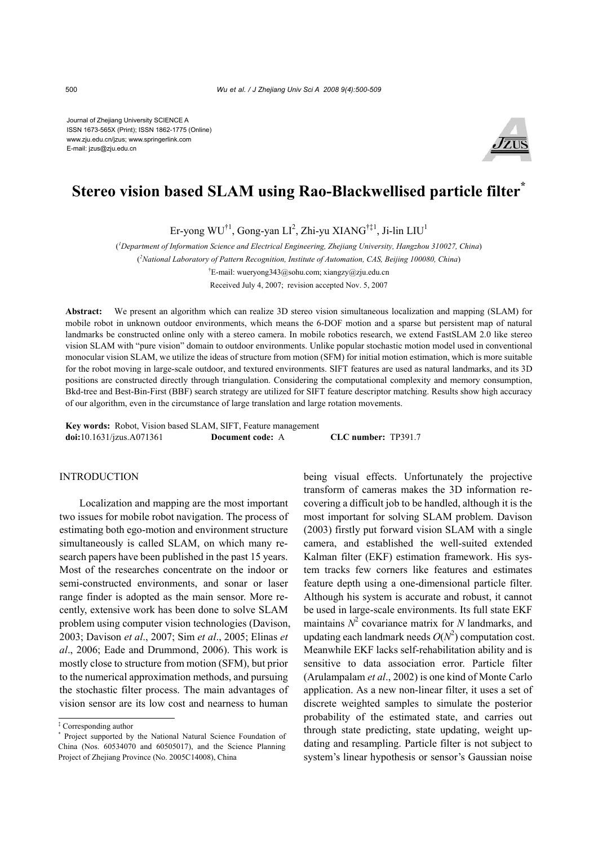Journal of Zhejiang University SCIENCE A ISSN 1673-565X (Print); ISSN 1862-1775 (Online) www.zju.edu.cn/jzus; www.springerlink.com E-mail: jzus@zju.edu.cn



# **Stereo vision based SLAM using Rao-Blackwellised particle filter\***

Er-yong WU $^{\dagger 1}$ , Gong-yan LI $^2$ , Zhi-yu XIANG $^{\dagger\ddagger 1}$ , Ji-lin LIU $^1$ 

( *1 Department of Information Science and Electrical Engineering, Zhejiang University, Hangzhou 310027, China*)

( *2 National Laboratory of Pattern Recognition, Institute of Automation, CAS, Beijing 100080, China*)

† E-mail: wueryong343@sohu.com; xiangzy@zju.edu.cn

Received July 4, 2007; revision accepted Nov. 5, 2007

**Abstract:** We present an algorithm which can realize 3D stereo vision simultaneous localization and mapping (SLAM) for mobile robot in unknown outdoor environments, which means the 6-DOF motion and a sparse but persistent map of natural landmarks be constructed online only with a stereo camera. In mobile robotics research, we extend FastSLAM 2.0 like stereo vision SLAM with "pure vision" domain to outdoor environments. Unlike popular stochastic motion model used in conventional monocular vision SLAM, we utilize the ideas of structure from motion (SFM) for initial motion estimation, which is more suitable for the robot moving in large-scale outdoor, and textured environments. SIFT features are used as natural landmarks, and its 3D positions are constructed directly through triangulation. Considering the computational complexity and memory consumption, Bkd-tree and Best-Bin-First (BBF) search strategy are utilized for SIFT feature descriptor matching. Results show high accuracy of our algorithm, even in the circumstance of large translation and large rotation movements.

**Key words:** Robot, Vision based SLAM, SIFT, Feature management **doi:**10.1631/jzus.A071361 **Document code:** A **CLC number:** TP391.7

### INTRODUCTION

Localization and mapping are the most important two issues for mobile robot navigation. The process of estimating both ego-motion and environment structure simultaneously is called SLAM, on which many research papers have been published in the past 15 years. Most of the researches concentrate on the indoor or semi-constructed environments, and sonar or laser range finder is adopted as the main sensor. More recently, extensive work has been done to solve SLAM problem using computer vision technologies (Davison, 2003; Davison *et al*., 2007; Sim *et al*., 2005; Elinas *et al*., 2006; Eade and Drummond, 2006). This work is mostly close to structure from motion (SFM), but prior to the numerical approximation methods, and pursuing the stochastic filter process. The main advantages of vision sensor are its low cost and nearness to human

being visual effects. Unfortunately the projective transform of cameras makes the 3D information recovering a difficult job to be handled, although it is the most important for solving SLAM problem. Davison (2003) firstly put forward vision SLAM with a single camera, and established the well-suited extended Kalman filter (EKF) estimation framework. His system tracks few corners like features and estimates feature depth using a one-dimensional particle filter. Although his system is accurate and robust, it cannot be used in large-scale environments. Its full state EKF maintains  $N^2$  covariance matrix for *N* landmarks, and updating each landmark needs  $O(N^2)$  computation cost. Meanwhile EKF lacks self-rehabilitation ability and is sensitive to data association error. Particle filter (Arulampalam *et al*., 2002) is one kind of Monte Carlo application. As a new non-linear filter, it uses a set of discrete weighted samples to simulate the posterior probability of the estimated state, and carries out through state predicting, state updating, weight updating and resampling. Particle filter is not subject to system's linear hypothesis or sensor's Gaussian noise

<sup>‡</sup> Corresponding author

<sup>\*</sup> Project supported by the National Natural Science Foundation of China (Nos. 60534070 and 60505017), and the Science Planning Project of Zhejiang Province (No. 2005C14008), China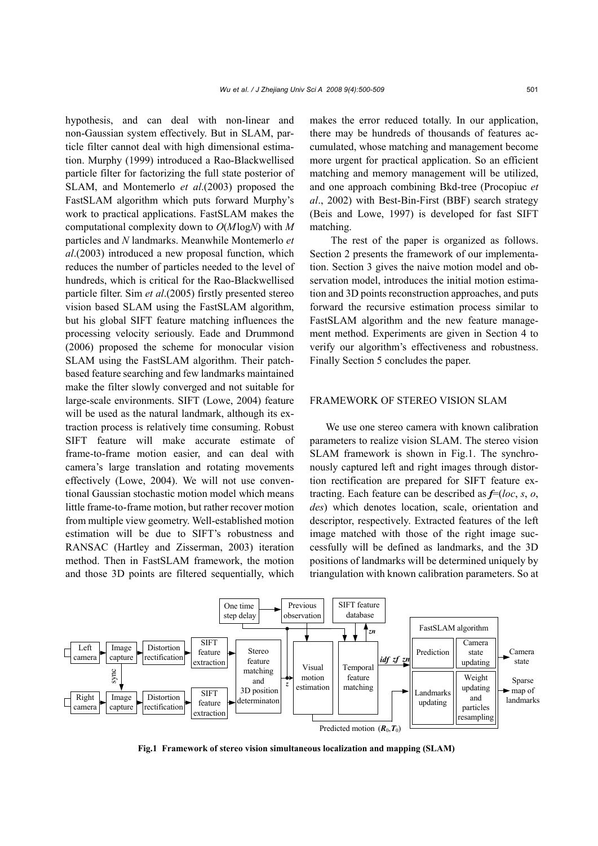hypothesis, and can deal with non-linear and non-Gaussian system effectively. But in SLAM, particle filter cannot deal with high dimensional estimation. Murphy (1999) introduced a Rao-Blackwellised particle filter for factorizing the full state posterior of SLAM, and Montemerlo *et al*.(2003) proposed the FastSLAM algorithm which puts forward Murphy's work to practical applications. FastSLAM makes the computational complexity down to *O*(*M*log*N*) with *M* particles and *N* landmarks. Meanwhile Montemerlo *et al*.(2003) introduced a new proposal function, which reduces the number of particles needed to the level of hundreds, which is critical for the Rao-Blackwellised particle filter. Sim *et al*.(2005) firstly presented stereo vision based SLAM using the FastSLAM algorithm, but his global SIFT feature matching influences the processing velocity seriously. Eade and Drummond (2006) proposed the scheme for monocular vision SLAM using the FastSLAM algorithm. Their patchbased feature searching and few landmarks maintained make the filter slowly converged and not suitable for large-scale environments. SIFT (Lowe, 2004) feature will be used as the natural landmark, although its extraction process is relatively time consuming. Robust SIFT feature will make accurate estimate of frame-to-frame motion easier, and can deal with camera's large translation and rotating movements effectively (Lowe, 2004). We will not use conventional Gaussian stochastic motion model which means little frame-to-frame motion, but rather recover motion from multiple view geometry. Well-established motion estimation will be due to SIFT's robustness and RANSAC (Hartley and Zisserman, 2003) iteration method. Then in FastSLAM framework, the motion and those 3D points are filtered sequentially, which makes the error reduced totally. In our application, there may be hundreds of thousands of features accumulated, whose matching and management become more urgent for practical application. So an efficient matching and memory management will be utilized, and one approach combining Bkd-tree (Procopiuc *et al*., 2002) with Best-Bin-First (BBF) search strategy (Beis and Lowe, 1997) is developed for fast SIFT matching.

The rest of the paper is organized as follows. Section 2 presents the framework of our implementation. Section 3 gives the naive motion model and observation model, introduces the initial motion estimation and 3D points reconstruction approaches, and puts forward the recursive estimation process similar to FastSLAM algorithm and the new feature management method. Experiments are given in Section 4 to verify our algorithm's effectiveness and robustness. Finally Section 5 concludes the paper.

## FRAMEWORK OF STEREO VISION SLAM

We use one stereo camera with known calibration parameters to realize vision SLAM. The stereo vision SLAM framework is shown in Fig.1. The synchronously captured left and right images through distortion rectification are prepared for SIFT feature extracting. Each feature can be described as *f*=(*loc*, *s*, *o*, *des*) which denotes location, scale, orientation and descriptor, respectively. Extracted features of the left image matched with those of the right image successfully will be defined as landmarks, and the 3D positions of landmarks will be determined uniquely by triangulation with known calibration parameters. So at



**Fig.1 Framework of stereo vision simultaneous localization and mapping (SLAM)**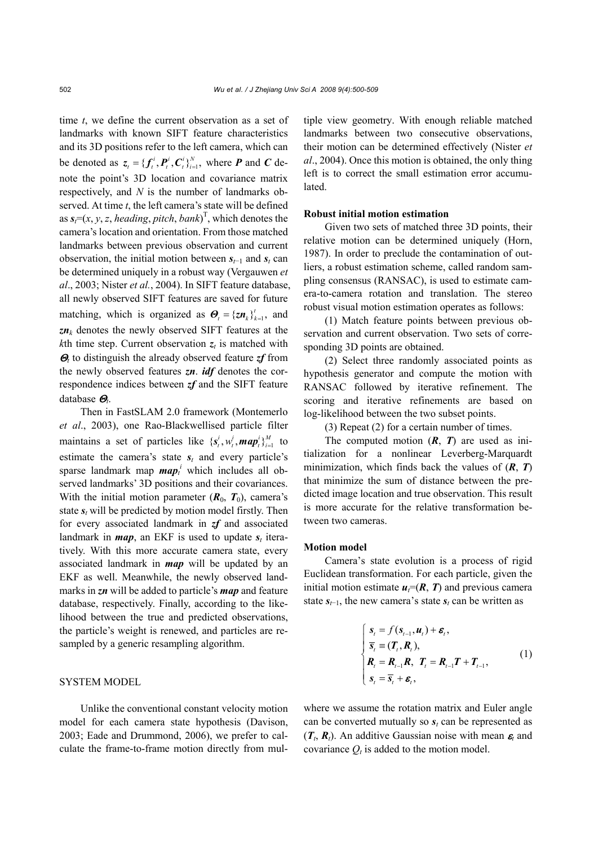time *t*, we define the current observation as a set of landmarks with known SIFT feature characteristics and its 3D positions refer to the left camera, which can be denoted as  $z_t = \{ f_t^i, P_t^i, C_t^i \}_{i=1}^N$ , where **P** and **C** denote the point's 3D location and covariance matrix respectively, and *N* is the number of landmarks observed. At time *t*, the left camera's state will be defined as  $s_i = (x, y, z, \text{ heading}, \text{pitch}, \text{bank})^\text{T}$ , which denotes the camera's location and orientation. From those matched landmarks between previous observation and current observation, the initial motion between  $s_{t-1}$  and  $s_t$  can be determined uniquely in a robust way (Vergauwen *et al*., 2003; Nister *et al.*, 2004). In SIFT feature database, all newly observed SIFT features are saved for future matching, which is organized as  $\boldsymbol{\Theta}_{t} = {\{\boldsymbol{z}\boldsymbol{n}_{k}\}}_{k=1}^{t}$ , and  $zn_k$  denotes the newly observed SIFT features at the *k*th time step. Current observation  $z_t$  is matched with <sup>Θ</sup>*t* to distinguish the already observed feature *zf* from the newly observed features *zn*. *idf* denotes the correspondence indices between *zf* and the SIFT feature database Θ*t*.

Then in FastSLAM 2.0 framework (Montemerlo *et al*., 2003), one Rao-Blackwellised particle filter maintains a set of particles like  $\{s_t^i, w_t^i, \textit{map}_t^i\}_{i=1}^M$  to estimate the camera's state  $s_t$  and every particle's sparse landmark map  $map_i^i$  which includes all observed landmarks' 3D positions and their covariances. With the initial motion parameter  $(R_0, T_0)$ , camera's state  $s_t$  will be predicted by motion model firstly. Then for every associated landmark in *zf* and associated landmark in  $map$ , an EKF is used to update  $s_t$  iteratively. With this more accurate camera state, every associated landmark in *map* will be updated by an EKF as well. Meanwhile, the newly observed landmarks in *zn* will be added to particle's *map* and feature database, respectively. Finally, according to the likelihood between the true and predicted observations, the particle's weight is renewed, and particles are resampled by a generic resampling algorithm.

# SYSTEM MODEL

Unlike the conventional constant velocity motion model for each camera state hypothesis (Davison, 2003; Eade and Drummond, 2006), we prefer to calculate the frame-to-frame motion directly from multiple view geometry. With enough reliable matched landmarks between two consecutive observations, their motion can be determined effectively (Nister *et al*., 2004). Once this motion is obtained, the only thing left is to correct the small estimation error accumulated.

## **Robust initial motion estimation**

Given two sets of matched three 3D points, their relative motion can be determined uniquely (Horn, 1987). In order to preclude the contamination of outliers, a robust estimation scheme, called random sampling consensus (RANSAC), is used to estimate camera-to-camera rotation and translation. The stereo robust visual motion estimation operates as follows:

(1) Match feature points between previous observation and current observation. Two sets of corresponding 3D points are obtained.

(2) Select three randomly associated points as hypothesis generator and compute the motion with RANSAC followed by iterative refinement. The scoring and iterative refinements are based on log-likelihood between the two subset points.

(3) Repeat (2) for a certain number of times.

The computed motion (*R*, *T*) are used as initialization for a nonlinear Leverberg-Marquardt minimization, which finds back the values of (*R*, *T*) that minimize the sum of distance between the predicted image location and true observation. This result is more accurate for the relative transformation between two cameras.

## **Motion model**

Camera's state evolution is a process of rigid Euclidean transformation. For each particle, given the initial motion estimate  $u_i = (R, T)$  and previous camera state  $s_{t-1}$ , the new camera's state  $s_t$  can be written as

$$
\begin{cases}\n\mathbf{s}_{t} = f(\mathbf{s}_{t-1}, \mathbf{u}_{t}) + \mathbf{\varepsilon}_{t}, \\
\overline{\mathbf{s}}_{t} \equiv (\mathbf{T}_{t}, \mathbf{R}_{t}), \\
\mathbf{R}_{t} = \mathbf{R}_{t-1} \mathbf{R}, \quad \mathbf{T}_{t} = \mathbf{R}_{t-1} \mathbf{T} + \mathbf{T}_{t-1}, \\
\mathbf{s}_{t} = \overline{\mathbf{s}}_{t} + \mathbf{\varepsilon}_{t},\n\end{cases}
$$
\n(1)

where we assume the rotation matrix and Euler angle can be converted mutually so *st* can be represented as  $(T_t, R_t)$ . An additive Gaussian noise with mean  $\varepsilon_t$  and covariance  $Q_t$  is added to the motion model.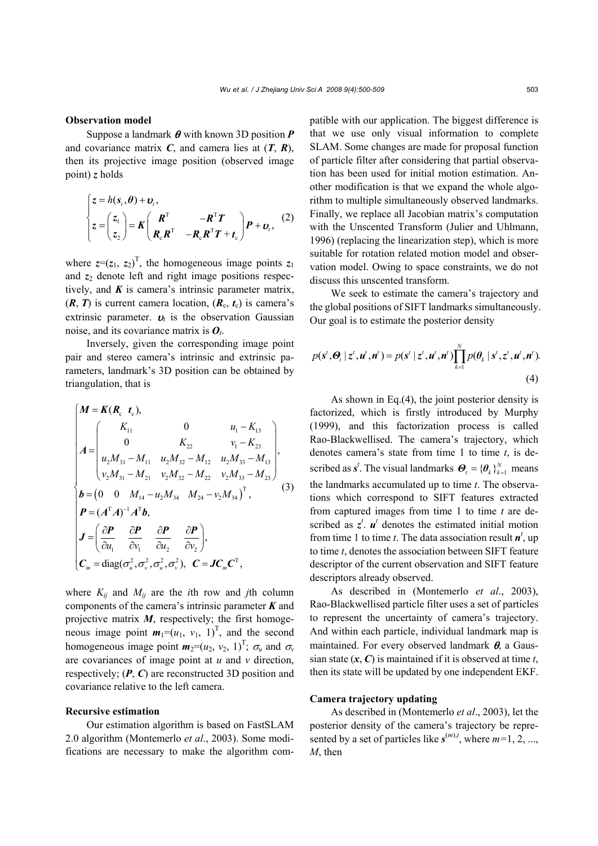#### **Observation model**

Suppose a landmark θ with known 3D position *P* and covariance matrix  $C$ , and camera lies at  $(T, R)$ , then its projective image position (observed image point) *z* holds

$$
\begin{cases}\nz = h(s_i, \theta) + \mathbf{v}_i, \\
z = \begin{pmatrix} z_1 \\ z_2 \end{pmatrix} = \mathbf{K} \begin{pmatrix} \mathbf{R}^T & -\mathbf{R}^T \mathbf{T} \\ \mathbf{R}_c \mathbf{R}^T & -\mathbf{R}_c \mathbf{R}^T \mathbf{T} + \mathbf{t}_c \end{pmatrix} \mathbf{P} + \mathbf{v}_i,\n\end{cases} (2)
$$

where  $z=(z_1, z_2)^T$ , the homogeneous image points  $z_1$ and  $z_2$  denote left and right image positions respectively, and *K* is camera's intrinsic parameter matrix,  $(R, T)$  is current camera location,  $(R_c, t_c)$  is camera's extrinsic parameter.  $v_t$  is the observation Gaussian noise, and its covariance matrix is *Ot*.

Inversely, given the corresponding image point pair and stereo camera's intrinsic and extrinsic parameters, landmark's 3D position can be obtained by triangulation, that is

$$
\begin{cases}\nM = K(R_c \ t_c), \\
A = \begin{pmatrix}\nK_{11} & 0 & u_1 - K_{13} \\
0 & K_{22} & v_1 - K_{23} \\
u_2 M_{31} - M_{11} & u_2 M_{32} - M_{12} & u_2 M_{33} - M_{13} \\
v_2 M_{31} - M_{21} & v_2 M_{32} - M_{22} & v_2 M_{33} - M_{23}\n\end{pmatrix}, \\
b = (0 \ 0 \ M_{14} - u_2 M_{34} \ M_{24} - v_2 M_{34})^T, \\
P = (A^T A)^{-1} A^T b, \\
J = \left(\frac{\partial P}{\partial u_1} \frac{\partial P}{\partial v_1} \frac{\partial P}{\partial u_2} \frac{\partial P}{\partial v_2}\right), \\
C_m = \text{diag}(\sigma_u^2, \sigma_v^2, \sigma_u^2, \sigma_v^2), \ C = J C_m C^T,\n\end{cases} (3)
$$

where  $K_{ij}$  and  $M_{ij}$  are the *i*th row and *j*th column components of the camera's intrinsic parameter *K* and projective matrix *M*, respectively; the first homogeneous image point  $m_1=(u_1, v_1, 1)^T$ , and the second homogeneous image point  $m_2=(u_2, v_2, 1)^T$ ;  $\sigma_u$  and  $\sigma_v$ are covariances of image point at *u* and *v* direction, respectively; (*P*, *C*) are reconstructed 3D position and covariance relative to the left camera.

## **Recursive estimation**

Our estimation algorithm is based on FastSLAM 2.0 algorithm (Montemerlo *et al*., 2003). Some modifications are necessary to make the algorithm compatible with our application. The biggest difference is that we use only visual information to complete SLAM. Some changes are made for proposal function of particle filter after considering that partial observation has been used for initial motion estimation. Another modification is that we expand the whole algorithm to multiple simultaneously observed landmarks. Finally, we replace all Jacobian matrix's computation with the Unscented Transform (Julier and Uhlmann, 1996) (replacing the linearization step), which is more suitable for rotation related motion model and observation model. Owing to space constraints, we do not discuss this unscented transform.

We seek to estimate the camera's trajectory and the global positions of SIFT landmarks simultaneously. Our goal is to estimate the posterior density

$$
p(\mathbf{s}', \boldsymbol{\Theta}_t | \mathbf{z}', \mathbf{u}', \mathbf{n}') = p(\mathbf{s}' | \mathbf{z}', \mathbf{u}', \mathbf{n}') \prod_{k=1}^{N} p(\boldsymbol{\theta}_k | \mathbf{s}', \mathbf{z}', \mathbf{u}', \mathbf{n}').
$$
\n(4)

As shown in Eq.(4), the joint posterior density is factorized, which is firstly introduced by Murphy (1999), and this factorization process is called Rao-Blackwellised. The camera's trajectory, which denotes camera's state from time 1 to time *t*, is described as  $s^t$ . The visual landmarks  $\boldsymbol{\Theta}_t = {\{\theta_k\}}_{k=1}^{N}$  means the landmarks accumulated up to time *t*. The observations which correspond to SIFT features extracted from captured images from time 1 to time *t* are described as  $z^t$ .  $u^t$  denotes the estimated initial motion from time 1 to time *t*. The data association result  $n^t$ , up to time *t*, denotes the association between SIFT feature descriptor of the current observation and SIFT feature descriptors already observed.

As described in (Montemerlo *et al*., 2003), Rao-Blackwellised particle filter uses a set of particles to represent the uncertainty of camera's trajectory. And within each particle, individual landmark map is maintained. For every observed landmark  $\theta$ , a Gaussian state (*x*, *C*) is maintained if it is observed at time *t*, then its state will be updated by one independent EKF.

### **Camera trajectory updating**

As described in (Montemerlo *et al*., 2003), let the posterior density of the camera's trajectory be represented by a set of particles like  $s^{(m),t}$ , where  $m=1, 2, ...$ *M*, then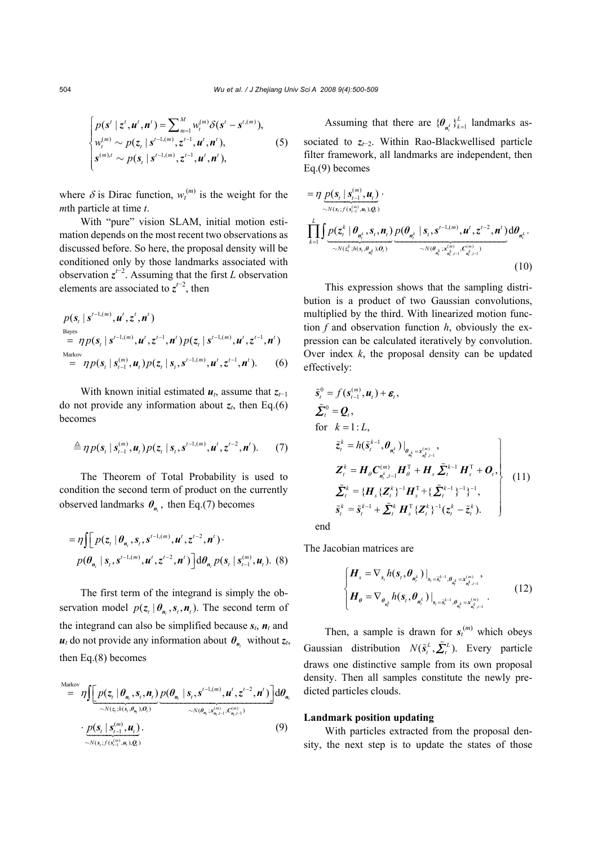$$
\begin{cases}\np(\mathbf{s}^{t} \mid \mathbf{z}^{t}, \mathbf{u}^{t}, \mathbf{n}^{t}) = \sum_{m=1}^{M} w_{t}^{(m)} \delta(\mathbf{s}^{t} - \mathbf{s}^{t,(m)}), \\
w_{t}^{(m)} \sim p(\mathbf{z}_{t} \mid \mathbf{s}^{t-1,(m)}, \mathbf{z}^{t-1}, \mathbf{u}^{t}, \mathbf{n}^{t}), \\
\mathbf{s}^{(m), t} \sim p(\mathbf{s}_{t} \mid \mathbf{s}^{t-1,(m)}, \mathbf{z}^{t-1}, \mathbf{u}^{t}, \mathbf{n}^{t}),\n\end{cases} (5)
$$

where  $\delta$  is Dirac function,  $w_t^{(m)}$  is the weight for the *m*th particle at time *t*.

With "pure" vision SLAM, initial motion estimation depends on the most recent two observations as discussed before. So here, the proposal density will be conditioned only by those landmarks associated with observation  $z^{t-2}$ . Assuming that the first *L* observation elements are associated to  $z^{t-2}$ , then

$$
p(\mathbf{s}_{t} | \mathbf{s}^{t-1,(m)}, \mathbf{u}^{t}, \mathbf{z}^{t}, \mathbf{n}^{t})
$$
  
\nBayes  
\n
$$
= \eta p(\mathbf{s}_{t} | \mathbf{s}^{t-1,(m)}, \mathbf{u}^{t}, \mathbf{z}^{t-1}, \mathbf{n}^{t}) p(\mathbf{z}_{t} | \mathbf{s}^{t-1,(m)}, \mathbf{u}^{t}, \mathbf{z}^{t-1}, \mathbf{n}^{t})
$$
  
\nMarkov  
\n
$$
= \eta p(\mathbf{s}_{t} | \mathbf{s}_{t-1}^{(m)}, \mathbf{u}_{t}) p(\mathbf{z}_{t} | \mathbf{s}_{t}, \mathbf{s}^{t-1,(m)}, \mathbf{u}^{t}, \mathbf{z}^{t-1}, \mathbf{n}^{t}).
$$
 (6)

With known initial estimated  $u_t$ , assume that  $z_{t-1}$ do not provide any information about  $z_t$ , then Eq.(6) becomes

$$
\triangleq \eta p(\boldsymbol{s}_{t} | \boldsymbol{s}_{t-1}^{(m)}, \boldsymbol{u}_{t}) p(\boldsymbol{z}_{t} | \boldsymbol{s}_{t}, \boldsymbol{s}^{t-1,(m)}, \boldsymbol{u}^{t}, \boldsymbol{z}^{t-2}, \boldsymbol{n}^{t}). \qquad (7)
$$

The Theorem of Total Probability is used to condition the second term of product on the currently observed landmarks  $\theta_n$ , then Eq.(7) becomes

$$
= \eta \int \Big[ p(z_t | \theta_{n_t}, s_t, s^{t-1, (m)} , u^t, z^{t-2}, n^t) \cdot p(\theta_{n_t} | s_t, s^{t-1, (m)} , u^t, z^{t-2}, n^t) \Big] d\theta_{n_t} p(s_t | s^{(m)}_{t-1}, u_t) .
$$
 (8)

The first term of the integrand is simply the observation model  $p(z_t | \theta_n, s_t, n_t)$ . The second term of the integrand can also be simplified because  $s_t$ ,  $n_t$  and  $u_t$  do not provide any information about  $\theta_{n_t}$  without  $z_t$ , then Eq.(8) becomes

$$
\sum_{i=1}^{\text{Markov}} \eta \left[ p(z_t | \theta_{n_t}, s_t, n_t) p(\theta_{n_t} | s_t, s^{t-1, (m)}, u^t, z^{t-2}, n^t) \right] d\theta_{n_t}
$$
\n
$$
\sum_{i=1}^{\text{Maxov}} \left[ p(z_t | \theta_{n_t}, s_t, n_t) p(\theta_{n_t} | s_t, s^{t-1, (m)}, u^t, z^{t-2}, n^t) \right] d\theta_{n_t}
$$
\n
$$
\sum_{i=1}^{\text{Maxov}} \left[ p(z_t | s_{t-1}, u_t, \theta_{n_t}) p(\theta_{n_t} | s_t, s^{t-1, (m)}, u^t, z^{t-2}, n^t) \right] d\theta_{n_t}
$$
\n
$$
\tag{9}
$$

Assuming that there are  $\{\theta_{n_i^k}\}_{k=1}^L$  landmarks associated to *zt*−2. Within Rao-Blackwellised particle filter framework, all landmarks are independent, then Eq.(9) becomes

$$
= \eta \underbrace{p(s_t | s_{t-1}^{(m)}, \boldsymbol{u}_t)}_{\sim N(s_t; f(s_{t-1}^{(m)}, \boldsymbol{u}_t), \mathcal{Q}_t)}.
$$
\n
$$
\prod_{k=1}^{L} \int \underbrace{p(z_t^k | \boldsymbol{\theta}_{n_t^k}, s_t, \boldsymbol{n}_t)}_{\sim N(z_t^k; h(s_t, \boldsymbol{\theta}_{n_t^k}), \mathcal{Q}_t)} \underbrace{p(\boldsymbol{\theta}_{n_t^k} | s_t, s^{t-1, (m)}, \boldsymbol{u}^t, z^{t-2}, \boldsymbol{n}^t)}_{\sim N(\boldsymbol{\theta}_{n_t^k}; x_{n_t^k, t-1}^{(m)}, C_{n_t^k, t-1}^{(m)})} d\boldsymbol{\theta}_{n_t^k}.
$$
\n(10)

This expression shows that the sampling distribution is a product of two Gaussian convolutions, multiplied by the third. With linearized motion function *f* and observation function *h*, obviously the expression can be calculated iteratively by convolution. Over index *k*, the proposal density can be updated effectively:

$$
\tilde{s}_{t}^{0} = f(s_{t-1}^{(m)}, u_{t}) + \varepsilon_{t},
$$
\n
$$
\tilde{\sum}_{t}^{0} = \mathbf{Q}_{t},
$$
\nfor  $k = 1 : L,$ \n
$$
\tilde{z}_{t}^{k} = h(\tilde{s}_{t}^{k-1}, \theta_{n_{t}^{k}})|_{\theta_{n_{t}^{k}} = x_{n_{t}^{k}, t-1}^{(m)}},
$$
\n
$$
\mathbf{Z}_{t}^{k} = \mathbf{H}_{\theta} \mathbf{C}_{n_{t}^{k}, t-1}^{(m)} \mathbf{H}_{\theta}^{T} + \mathbf{H}_{s} \tilde{\mathbf{\Sigma}}_{t}^{k-1} \mathbf{H}_{s}^{T} + \mathbf{O}_{t},
$$
\n
$$
\tilde{\mathbf{\Sigma}}_{t}^{k} = \{ \mathbf{H}_{s} \{ \mathbf{Z}_{t}^{k} \}^{-1} \mathbf{H}_{s}^{T} + \{ \tilde{\mathbf{\Sigma}}_{t}^{k-1} \}^{-1} \}^{-1},
$$
\n
$$
\tilde{s}_{t}^{k} = \tilde{s}_{t}^{k-1} + \tilde{\mathbf{\Sigma}}_{t}^{k} \mathbf{H}_{s}^{T} \{ \mathbf{Z}_{t}^{k} \}^{-1} (\mathbf{z}_{t}^{k} - \tilde{\mathbf{z}}_{t}^{k}).
$$
\n(11)

end

The Jacobian matrices are

$$
\begin{cases}\n\boldsymbol{H}_{s} = \nabla_{s_{i}} h(\boldsymbol{s}_{t}, \boldsymbol{\theta}_{n_{t}^{k}})|_{s_{t} = \tilde{s}_{t}^{k-1}, \boldsymbol{\theta}_{n_{t}^{k}} = \boldsymbol{x}_{n_{t}^{k}, t-1}^{(m)}}, \\
\boldsymbol{H}_{\theta} = \nabla_{\boldsymbol{\theta}_{n_{t}^{k}}} h(\boldsymbol{s}_{t}, \boldsymbol{\theta}_{n_{t}^{k}})|_{s_{t} = \tilde{s}_{t}^{k-1}, \boldsymbol{\theta}_{n_{t}^{k}} = \boldsymbol{x}_{n_{t}^{k}, t-1}^{(m)}}.\n\end{cases} (12)
$$

Then, a sample is drawn for  $s_t^{(m)}$  which obeys Gaussian distribution  $N(\tilde{s}_t^L, \tilde{\Sigma}_t^L)$ . Every particle draws one distinctive sample from its own proposal density. Then all samples constitute the newly predicted particles clouds.

## **Landmark position updating**

With particles extracted from the proposal density, the next step is to update the states of those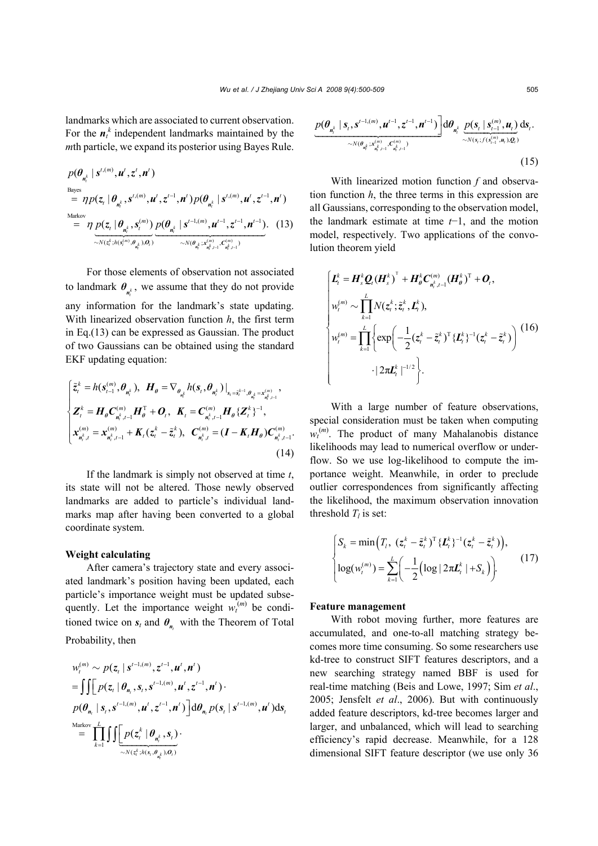landmarks which are associated to current observation. For the  $n_t^k$  independent landmarks maintained by the *m*th particle, we expand its posterior using Bayes Rule.

$$
p(\theta_{n_t^k} | s^{t,(m)}, u^t, z^t, n^t)
$$
  
\n
$$
= \eta p(z_t | \theta_{n_t^k}, s^{t,(m)}, u^t, z^{t-1}, n^t) p(\theta_{n_t^k} | s^{t,(m)}, u^t, z^{t-1}, n^t)
$$
  
\n
$$
= \eta \underbrace{p(z_t | \theta_{n_t^k}, s_t^{(m)})}_{\sim N(z_t^k; h(s_t^{(m)}, \theta_{n_t^k}), O_t)} \underbrace{p(\theta_{n_t^k} | s^{t-1,(m)}, u^{t-1}, z^{t-1}, n^{t-1})}_{\sim N(\theta_{n_t^k}; x_{n_t^k, t-1}^{(m)}, C_{n_t^k-1}^{(m)})}.
$$
 (13)

For those elements of observation not associated to landmark  $\theta_{n_t^k}$ , we assume that they do not provide any information for the landmark's state updating. With linearized observation function *h*, the first term in Eq.(13) can be expressed as Gaussian. The product of two Gaussians can be obtained using the standard EKF updating equation:

$$
\begin{cases} \tilde{z}_{t}^{k} = h(s_{t-1}^{(m)}, \theta_{n_{t}^{k}}), \ H_{\theta} = \nabla_{\theta_{n_{t}^{k}}} h(s_{t}, \theta_{n_{t}^{k}}) \big|_{s_{t} = \tilde{s}_{t}^{k-1}, \theta_{n_{t}^{k}} = x_{n_{t}^{k}, t-1}^{(m)}}, \\ Z_{t}^{k} = H_{\theta} C_{n_{t}^{k}, t-1}^{(m)} H_{\theta}^{T} + O_{t}, \ K_{t} = C_{n_{t}^{k}, t-1}^{(m)} H_{\theta} \{Z_{t}^{k}\}^{-1}, \\ x_{n_{t}^{k}, t}^{(m)} = x_{n_{t}^{k}, t-1}^{(m)} + K_{t} (z_{t}^{k} - \tilde{z}_{t}^{k}), \ C_{n_{t}^{k}, t}^{(m)} = (I - K_{t} H_{\theta}) C_{n_{t}^{k}, t-1}^{(m)}. \end{cases} \tag{14}
$$

If the landmark is simply not observed at time *t*, its state will not be altered. Those newly observed landmarks are added to particle's individual landmarks map after having been converted to a global coordinate system.

## **Weight calculating**

After camera's trajectory state and every associated landmark's position having been updated, each particle's importance weight must be updated subsequently. Let the importance weight  $w_t^{(m)}$  be conditioned twice on  $s_t$  and  $\theta_n$  with the Theorem of Total Probability, then

$$
w_t^{(m)} \sim p(z_t | s^{t-1,(m)}, z^{t-1}, u^t, n^t)
$$
  
= 
$$
\iint p(z_t | \theta_{n_t}, s_t, s^{t-1,(m)}, u^t, z^{t-1}, n^t) \cdot p(\theta_{n_t} | s_t, s^{t-1,(m)}, u^t, z^{t-1}, n^t) \cdot d\theta_{n_t} p(s_t | s^{t-1,(m)}, u^t) ds_t
$$
  
= 
$$
\prod_{k=1}^{Markov} \iint \underbrace{\left[ p(z_t^k | \theta_{n_t^k}, s_t) \cdot \right.}_{\sim N(z_t^k; h(s_t, \theta_{n_t^k}), O_t)}
$$

$$
\frac{p(\theta_{n_t^k} | s_t, s^{t-1,(m)}, u^{t-1}, z^{t-1}, n^{t-1})}{\sqrt{N(\theta_{n_t^k} | s^{t,m}_t, s^{t,m}_{n_t^k, t-1}, C_{n_t^k, t-1}^{(m)})}} d\theta_{n_t^k} \underbrace{p(s_t | s^{(m)}_{t-1}, u_t)}_{\sim N(s_t; f(s^{(m)}_{t-1}, u_t), Q_t)} ds_t.
$$
\n(15)

With linearized motion function *f* and observation function *h*, the three terms in this expression are all Gaussians, corresponding to the observation model, the landmark estimate at time *t*−1, and the motion model, respectively. Two applications of the convolution theorem yield

$$
\begin{cases}\n\boldsymbol{L}_{t}^{k} = \boldsymbol{H}_{s}^{k} \boldsymbol{Q}_{t} (\boldsymbol{H}_{s}^{k})^{\mathrm{T}} + \boldsymbol{H}_{\theta}^{k} \boldsymbol{C}_{n_{t}^{k}, t-1}^{(m)} (\boldsymbol{H}_{\theta}^{k})^{\mathrm{T}} + \boldsymbol{O}_{t}, \\
w_{t}^{(m)} \sim \prod_{k=1}^{L} N(z_{t}^{k}, \tilde{z}_{t}^{k}, \boldsymbol{L}_{t}^{k}), \\
w_{t}^{(m)} = \prod_{k=1}^{L} \left\{ \exp \left( -\frac{1}{2} (z_{t}^{k} - \tilde{z}_{t}^{k})^{\mathrm{T}} \{ \boldsymbol{L}_{t}^{k} \}^{-1} (z_{t}^{k} - \tilde{z}_{t}^{k}) \right) \right. \\
\left. + |2 \pi \boldsymbol{L}_{t}^{k}|^{-1/2} \right\}.\n\end{cases}
$$
\n(16)

With a large number of feature observations, special consideration must be taken when computing  $w_t^{(m)}$ . The product of many Mahalanobis distance likelihoods may lead to numerical overflow or underflow. So we use log-likelihood to compute the importance weight. Meanwhile, in order to preclude outlier correspondences from significantly affecting the likelihood, the maximum observation innovation threshold  $T_l$  is set:

$$
\begin{cases}\nS_k = \min\left(T_l, (z_t^k - \tilde{z}_t^k)^T \{L_t^k\}^{-1} (z_t^k - \tilde{z}_t^k)\right), \\
\log(w_t^{(m)}) = \sum_{k=1}^L \left(-\frac{1}{2} \left(\log|2\pi L_t^k| + S_k\right)\right).\n\end{cases} (17)
$$

#### **Feature management**

With robot moving further, more features are accumulated, and one-to-all matching strategy becomes more time consuming. So some researchers use kd-tree to construct SIFT features descriptors, and a new searching strategy named BBF is used for real-time matching (Beis and Lowe, 1997; Sim *et al*., 2005; Jensfelt *et al*., 2006). But with continuously added feature descriptors, kd-tree becomes larger and larger, and unbalanced, which will lead to searching efficiency's rapid decrease. Meanwhile, for a 128 dimensional SIFT feature descriptor (we use only 36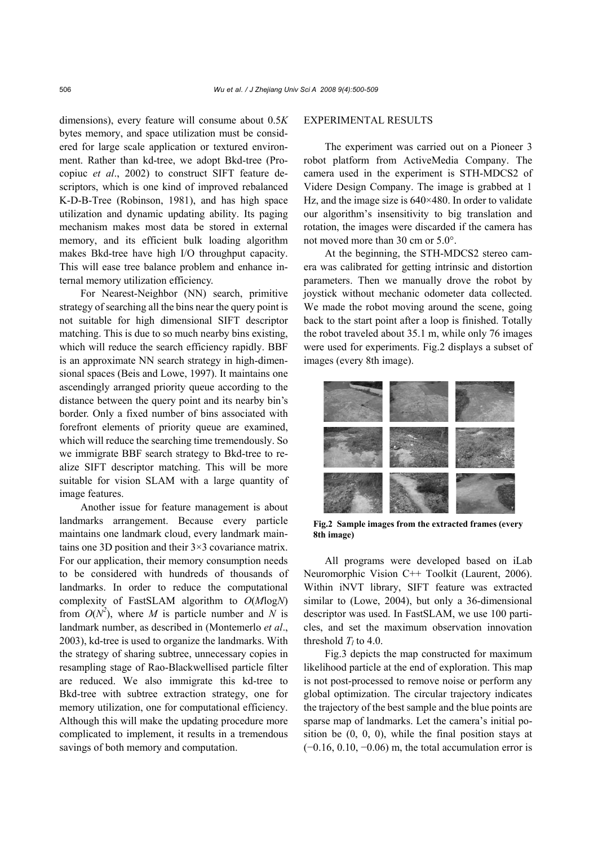dimensions), every feature will consume about 0.5*K* bytes memory, and space utilization must be considered for large scale application or textured environment. Rather than kd-tree, we adopt Bkd-tree (Procopiuc *et al*., 2002) to construct SIFT feature descriptors, which is one kind of improved rebalanced K-D-B-Tree (Robinson, 1981), and has high space utilization and dynamic updating ability. Its paging mechanism makes most data be stored in external memory, and its efficient bulk loading algorithm makes Bkd-tree have high I/O throughput capacity. This will ease tree balance problem and enhance internal memory utilization efficiency.

For Nearest-Neighbor (NN) search, primitive strategy of searching all the bins near the query point is not suitable for high dimensional SIFT descriptor matching. This is due to so much nearby bins existing, which will reduce the search efficiency rapidly. BBF is an approximate NN search strategy in high-dimensional spaces (Beis and Lowe, 1997). It maintains one ascendingly arranged priority queue according to the distance between the query point and its nearby bin's border. Only a fixed number of bins associated with forefront elements of priority queue are examined, which will reduce the searching time tremendously. So we immigrate BBF search strategy to Bkd-tree to realize SIFT descriptor matching. This will be more suitable for vision SLAM with a large quantity of image features.

Another issue for feature management is about landmarks arrangement. Because every particle maintains one landmark cloud, every landmark maintains one 3D position and their 3×3 covariance matrix. For our application, their memory consumption needs to be considered with hundreds of thousands of landmarks. In order to reduce the computational complexity of FastSLAM algorithm to *O*(*M*log*N*) from  $O(N^2)$ , where *M* is particle number and *N* is landmark number, as described in (Montemerlo *et al*., 2003), kd-tree is used to organize the landmarks. With the strategy of sharing subtree, unnecessary copies in resampling stage of Rao-Blackwellised particle filter are reduced. We also immigrate this kd-tree to Bkd-tree with subtree extraction strategy, one for memory utilization, one for computational efficiency. Although this will make the updating procedure more complicated to implement, it results in a tremendous savings of both memory and computation.

## EXPERIMENTAL RESULTS

The experiment was carried out on a Pioneer 3 robot platform from ActiveMedia Company. The camera used in the experiment is STH-MDCS2 of Videre Design Company. The image is grabbed at 1 Hz, and the image size is  $640\times480$ . In order to validate our algorithm's insensitivity to big translation and rotation, the images were discarded if the camera has not moved more than 30 cm or 5.0°.

At the beginning, the STH-MDCS2 stereo camera was calibrated for getting intrinsic and distortion parameters. Then we manually drove the robot by joystick without mechanic odometer data collected. We made the robot moving around the scene, going back to the start point after a loop is finished. Totally the robot traveled about 35.1 m, while only 76 images were used for experiments. Fig.2 displays a subset of images (every 8th image).



**Fig.2 Sample images from the extracted frames (every 8th image)**

All programs were developed based on iLab Neuromorphic Vision C++ Toolkit (Laurent, 2006). Within iNVT library, SIFT feature was extracted similar to (Lowe, 2004), but only a 36-dimensional descriptor was used. In FastSLAM, we use 100 particles, and set the maximum observation innovation threshold  $T_l$  to 4.0.

Fig.3 depicts the map constructed for maximum likelihood particle at the end of exploration. This map is not post-processed to remove noise or perform any global optimization. The circular trajectory indicates the trajectory of the best sample and the blue points are sparse map of landmarks. Let the camera's initial position be  $(0, 0, 0)$ , while the final position stays at  $(-0.16, 0.10, -0.06)$  m, the total accumulation error is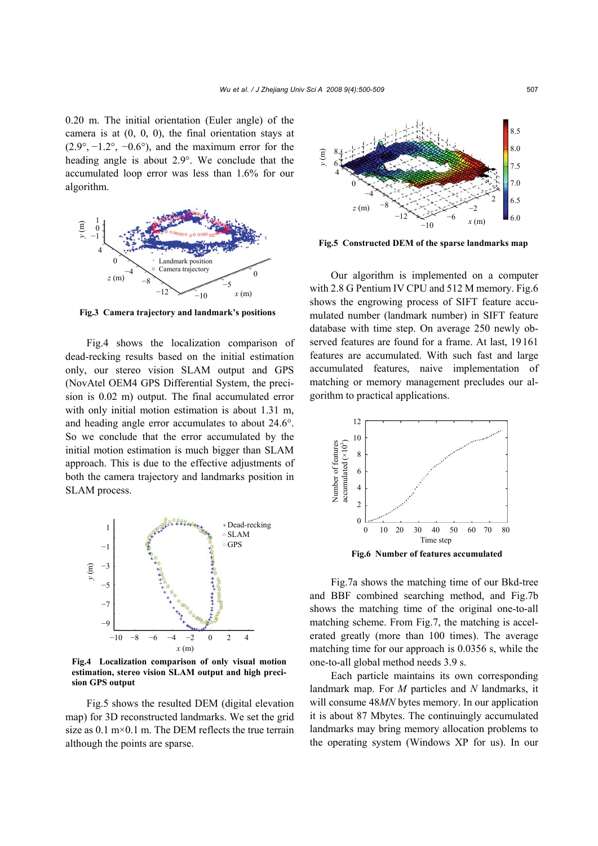0.20 m. The initial orientation (Euler angle) of the camera is at  $(0, 0, 0)$ , the final orientation stays at  $(2.9^{\circ}, -1.2^{\circ}, -0.6^{\circ})$ , and the maximum error for the heading angle is about 2.9°. We conclude that the accumulated loop error was less than 1.6% for our algorithm.



**Fig.3 Camera trajectory and landmark's positions**

Fig.4 shows the localization comparison of dead-recking results based on the initial estimation only, our stereo vision SLAM output and GPS (NovAtel OEM4 GPS Differential System, the precision is 0.02 m) output. The final accumulated error with only initial motion estimation is about 1.31 m, and heading angle error accumulates to about 24.6°. So we conclude that the error accumulated by the initial motion estimation is much bigger than SLAM approach. This is due to the effective adjustments of both the camera trajectory and landmarks position in SLAM process.



**Fig.4 Localization comparison of only visual motion estimation, stereo vision SLAM output and high precision GPS output**

Fig.5 shows the resulted DEM (digital elevation map) for 3D reconstructed landmarks. We set the grid size as  $0.1 \text{ m} \times 0.1 \text{ m}$ . The DEM reflects the true terrain although the points are sparse.



**Fig.5 Constructed DEM of the sparse landmarks map**

Our algorithm is implemented on a computer with 2.8 G Pentium IV CPU and 512 M memory. Fig.6 shows the engrowing process of SIFT feature accumulated number (landmark number) in SIFT feature database with time step. On average 250 newly observed features are found for a frame. At last, 19161 features are accumulated. With such fast and large accumulated features, naive implementation of matching or memory management precludes our algorithm to practical applications.



Fig.7a shows the matching time of our Bkd-tree and BBF combined searching method, and Fig.7b shows the matching time of the original one-to-all matching scheme. From Fig.7, the matching is accelerated greatly (more than 100 times). The average matching time for our approach is 0.0356 s, while the one-to-all global method needs 3.9 s.

Each particle maintains its own corresponding landmark map. For *M* particles and *N* landmarks, it will consume 48*MN* bytes memory. In our application it is about 87 Mbytes. The continuingly accumulated landmarks may bring memory allocation problems to the operating system (Windows XP for us). In our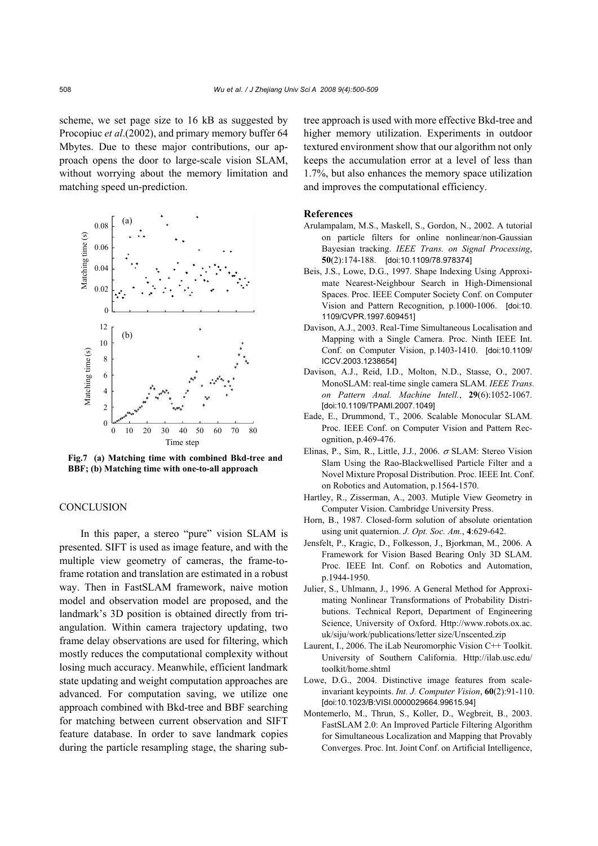scheme, we set page size to 16 kB as suggested by Procopiuc *et al*.(2002), and primary memory buffer 64 Mbytes. Due to these major contributions, our approach opens the door to large-scale vision SLAM, without worrying about the memory limitation and matching speed un-prediction.



**Fig.7 (a) Matching time with combined Bkd-tree and BBF; (b) Matching time with one-to-all approach**

## **CONCLUSION**

In this paper, a stereo "pure" vision SLAM is presented. SIFT is used as image feature, and with the multiple view geometry of cameras, the frame-toframe rotation and translation are estimated in a robust way. Then in FastSLAM framework, naive motion model and observation model are proposed, and the landmark's 3D position is obtained directly from triangulation. Within camera trajectory updating, two frame delay observations are used for filtering, which mostly reduces the computational complexity without losing much accuracy. Meanwhile, efficient landmark state updating and weight computation approaches are advanced. For computation saving, we utilize one approach combined with Bkd-tree and BBF searching for matching between current observation and SIFT feature database. In order to save landmark copies during the particle resampling stage, the sharing subtree approach is used with more effective Bkd-tree and higher memory utilization. Experiments in outdoor textured environment show that our algorithm not only keeps the accumulation error at a level of less than 1.7%, but also enhances the memory space utilization and improves the computational efficiency.

#### **References**

- Arulampalam, M.S., Maskell, S., Gordon, N., 2002. A tutorial on particle filters for online nonlinear/non-Gaussian Bayesian tracking. *IEEE Trans. on Signal Processing*, **50**(2):174-188. [doi:10.1109/78.978374]
- Beis, J.S., Lowe, D.G., 1997. Shape Indexing Using Approximate Nearest-Neighbour Search in High-Dimensional Spaces. Proc. IEEE Computer Society Conf. on Computer Vision and Pattern Recognition, p.1000-1006. [doi:10. 1109/CVPR.1997.609451]
- Davison, A.J., 2003. Real-Time Simultaneous Localisation and Mapping with a Single Camera. Proc. Ninth IEEE Int. Conf. on Computer Vision, p.1403-1410. [doi:10.1109/ ICCV.2003.1238654]
- Davison, A.J., Reid, I.D., Molton, N.D., Stasse, O., 2007. MonoSLAM: real-time single camera SLAM. *IEEE Trans. on Pattern Anal. Machine Intell.*, **29**(6):1052-1067. [doi:10.1109/TPAMI.2007.1049]
- Eade, E., Drummond, T., 2006. Scalable Monocular SLAM. Proc. IEEE Conf. on Computer Vision and Pattern Recognition, p.469-476.
- Elinas, P., Sim, R., Little, J.J., 2006.  $\sigma$  SLAM: Stereo Vision Slam Using the Rao-Blackwellised Particle Filter and a Novel Mixture Proposal Distribution. Proc. IEEE Int. Conf. on Robotics and Automation, p.1564-1570.
- Hartley, R., Zisserman, A., 2003. Mutiple View Geometry in Computer Vision. Cambridge University Press.
- Horn, B., 1987. Closed-form solution of absolute orientation using unit quaternion. *J. Opt. Soc. Am.*, **4**:629-642.
- Jensfelt, P., Kragic, D., Folkesson, J., Bjorkman, M., 2006. A Framework for Vision Based Bearing Only 3D SLAM. Proc. IEEE Int. Conf. on Robotics and Automation, p.1944-1950.
- Julier, S., Uhlmann, J., 1996. A General Method for Approximating Nonlinear Transformations of Probability Distributions. Technical Report, Department of Engineering Science, University of Oxford. Http://www.robots.ox.ac. uk/siju/work/publications/letter size/Unscented.zip
- Laurent, I., 2006. The iLab Neuromorphic Vision C++ Toolkit. University of Southern California. Http://ilab.usc.edu/ toolkit/home.shtml
- Lowe, D.G., 2004. Distinctive image features from scaleinvariant keypoints. *Int. J. Computer Vision*, **60**(2):91-110. [doi:10.1023/B:VISI.0000029664.99615.94]
- Montemerlo, M., Thrun, S., Koller, D., Wegbreit, B., 2003. FastSLAM 2.0: An Improved Particle Filtering Algorithm for Simultaneous Localization and Mapping that Provably Converges. Proc. Int. Joint Conf. on Artificial Intelligence,